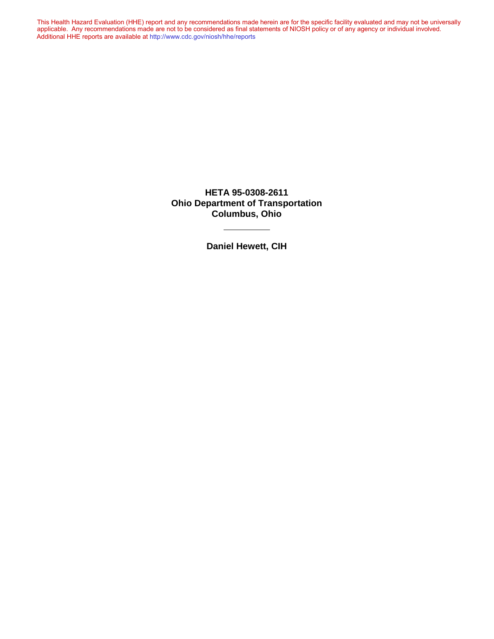This Health Hazard Evaluation (HHE) report and any recommendations made herein are for the specific facility evaluated and may not be universally applicable. Any recommendations made are not to be considered as final statements of NIOSH policy or of any agency or individual involved. Additional HHE reports are available at <http://www.cdc.gov/niosh/hhe/reports> Additional HHE reports are available at <http://www.cdc.gov/niosh/hhe/reports>This Health Hazard Evaluation (HHE) report and any recommendations made herein are for the specific facility evaluated and may not be universally applicable. Any recommendations made are not to be considered as final statements of NIOSH policy or of any agency or individual involved

> **HETA 95-0308-2611 Ohio Department of Transportation Columbus, Ohio**

> > **Daniel Hewett, CIH**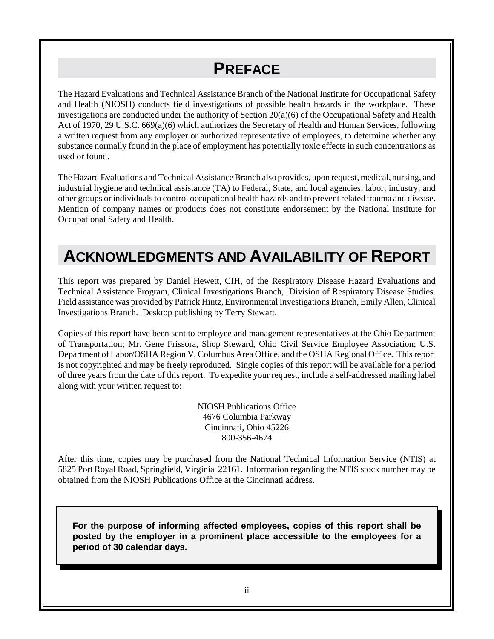## **PREFACE**

The Hazard Evaluations and Technical Assistance Branch of the National Institute for Occupational Safety and Health (NIOSH) conducts field investigations of possible health hazards in the workplace. These investigations are conducted under the authority of Section 20(a)(6) of the Occupational Safety and Health Act of 1970, 29 U.S.C. 669(a)(6) which authorizes the Secretary of Health and Human Services, following a written request from any employer or authorized representative of employees, to determine whether any substance normally found in the place of employment has potentially toxic effects in such concentrations as used or found.

The Hazard Evaluations and Technical Assistance Branch also provides, upon request, medical, nursing, and industrial hygiene and technical assistance (TA) to Federal, State, and local agencies; labor; industry; and other groups or individuals to control occupational health hazards and to prevent related trauma and disease. Mention of company names or products does not constitute endorsement by the National Institute for Occupational Safety and Health.

## **ACKNOWLEDGMENTS AND AVAILABILITY OF REPORT**

This report was prepared by Daniel Hewett, CIH, of the Respiratory Disease Hazard Evaluations and Technical Assistance Program, Clinical Investigations Branch, Division of Respiratory Disease Studies. Field assistance was provided by Patrick Hintz, Environmental Investigations Branch, Emily Allen, Clinical Investigations Branch. Desktop publishing by Terry Stewart.

Copies of this report have been sent to employee and management representatives at the Ohio Department of Transportation; Mr. Gene Frissora, Shop Steward, Ohio Civil Service Employee Association; U.S. Department of Labor/OSHA Region V, Columbus Area Office, and the OSHA Regional Office. This report is not copyrighted and may be freely reproduced. Single copies of this report will be available for a period of three years from the date of this report. To expedite your request, include a self-addressed mailing label along with your written request to:

> NIOSH Publications Office 4676 Columbia Parkway Cincinnati, Ohio 45226 800-356-4674

After this time, copies may be purchased from the National Technical Information Service (NTIS) at 5825 Port Royal Road, Springfield, Virginia 22161. Information regarding the NTIS stock number may be obtained from the NIOSH Publications Office at the Cincinnati address.

**For the purpose of informing affected employees, copies of this report shall be posted by the employer in a prominent place accessible to the employees for a period of 30 calendar days.**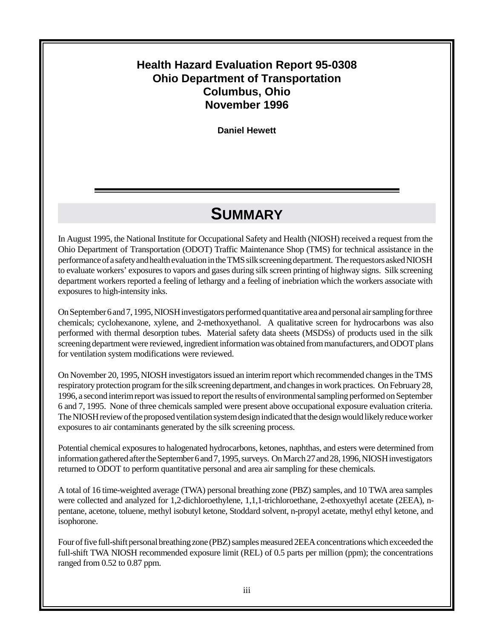### **Health Hazard Evaluation Report 95-0308 Ohio Department of Transportation Columbus, Ohio November 1996**

**Daniel Hewett**

## **SUMMARY**

In August 1995, the National Institute for Occupational Safety and Health (NIOSH) received a request from the Ohio Department of Transportation (ODOT) Traffic Maintenance Shop (TMS) for technical assistance in the performance of a safety and health evaluation in the TMS silk screening department. The requestors asked NIOSH to evaluate workers' exposures to vapors and gases during silk screen printing of highway signs. Silk screening department workers reported a feeling of lethargy and a feeling of inebriation which the workers associate with exposures to high-intensity inks.

On September 6 and 7, 1995, NIOSH investigators performed quantitative area and personal air sampling for three chemicals; cyclohexanone, xylene, and 2-methoxyethanol. A qualitative screen for hydrocarbons was also performed with thermal desorption tubes. Material safety data sheets (MSDSs) of products used in the silk screening department were reviewed, ingredient information was obtained from manufacturers, and ODOT plans for ventilation system modifications were reviewed.

On November 20, 1995, NIOSH investigators issued an interim report which recommended changes in the TMS respiratory protection program for the silk screening department, and changes in work practices. On February 28, 1996, a second interim report was issued to report the results of environmental sampling performed on September 6 and 7, 1995. None of three chemicals sampled were present above occupational exposure evaluation criteria. The NIOSH review of the proposed ventilation system design indicated that the design would likely reduce worker exposures to air contaminants generated by the silk screening process.

Potential chemical exposures to halogenated hydrocarbons, ketones, naphthas, and esters were determined from information gathered after the September 6 and 7, 1995, surveys. On March 27 and 28, 1996, NIOSH investigators returned to ODOT to perform quantitative personal and area air sampling for these chemicals.

A total of 16 time-weighted average (TWA) personal breathing zone (PBZ) samples, and 10 TWA area samples were collected and analyzed for 1,2-dichloroethylene, 1,1,1-trichloroethane, 2-ethoxyethyl acetate (2EEA), npentane, acetone, toluene, methyl isobutyl ketone, Stoddard solvent, n-propyl acetate, methyl ethyl ketone, and isophorone.

Four of five full-shift personal breathing zone (PBZ) samples measured 2EEA concentrations which exceeded the full-shift TWA NIOSH recommended exposure limit (REL) of 0.5 parts per million (ppm); the concentrations ranged from 0.52 to 0.87 ppm.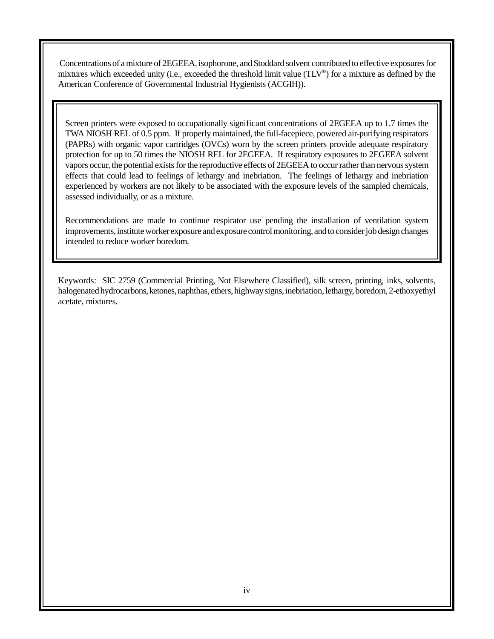Concentrations of a mixture of 2EGEEA, isophorone, and Stoddard solvent contributed to effective exposures for mixtures which exceeded unity (i.e., exceeded the threshold limit value (TLV®) for a mixture as defined by the American Conference of Governmental Industrial Hygienists (ACGIH)).

Screen printers were exposed to occupationally significant concentrations of 2EGEEA up to 1.7 times the TWA NIOSH REL of 0.5 ppm. If properly maintained, the full-facepiece, powered air-purifying respirators (PAPRs) with organic vapor cartridges (OVCs) worn by the screen printers provide adequate respiratory protection for up to 50 times the NIOSH REL for 2EGEEA. If respiratory exposures to 2EGEEA solvent vapors occur, the potential exists for the reproductive effects of 2EGEEA to occur rather than nervous system effects that could lead to feelings of lethargy and inebriation. The feelings of lethargy and inebriation experienced by workers are not likely to be associated with the exposure levels of the sampled chemicals, assessed individually, or as a mixture.

Recommendations are made to continue respirator use pending the installation of ventilation system improvements, institute worker exposure and exposure control monitoring, and to consider job design changes intended to reduce worker boredom.

Keywords: SIC 2759 (Commercial Printing, Not Elsewhere Classified), silk screen, printing, inks, solvents, halogenated hydrocarbons, ketones, naphthas, ethers, highway signs, inebriation, lethargy, boredom, 2-ethoxyethyl acetate, mixtures.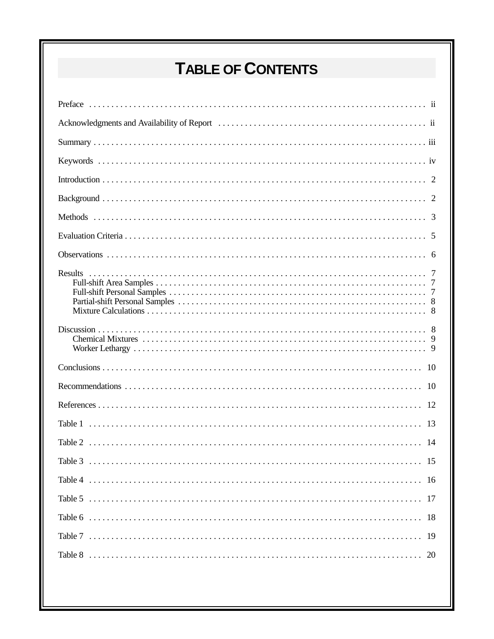# TABLE OF CONTENTS

| 15<br>Table 3 |
|---------------|
|               |
|               |
|               |
|               |
| 20            |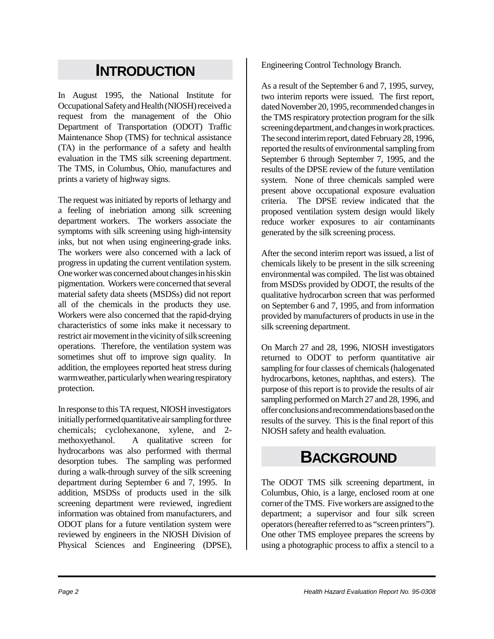## **INTRODUCTION**

In August 1995, the National Institute for Occupational Safety and Health (NIOSH) received a request from the management of the Ohio Department of Transportation (ODOT) Traffic Maintenance Shop (TMS) for technical assistance (TA) in the performance of a safety and health evaluation in the TMS silk screening department. The TMS, in Columbus, Ohio, manufactures and prints a variety of highway signs.

The request was initiated by reports of lethargy and a feeling of inebriation among silk screening department workers. The workers associate the symptoms with silk screening using high-intensity inks, but not when using engineering-grade inks. The workers were also concerned with a lack of progress in updating the current ventilation system. One worker was concerned about changes in his skin pigmentation. Workers were concerned that several material safety data sheets (MSDSs) did not report all of the chemicals in the products they use. Workers were also concerned that the rapid-drying characteristics of some inks make it necessary to restrict air movement in the vicinity of silk screening operations. Therefore, the ventilation system was sometimes shut off to improve sign quality. In addition, the employees reported heat stress during warm weather, particularly when wearing respiratory protection.

In response to this TA request, NIOSH investigators initially performed quantitative air sampling for three chemicals; cyclohexanone, xylene, and 2 methoxyethanol. A qualitative screen for hydrocarbons was also performed with thermal desorption tubes. The sampling was performed during a walk-through survey of the silk screening department during September 6 and 7, 1995. In addition, MSDSs of products used in the silk screening department were reviewed, ingredient information was obtained from manufacturers, and ODOT plans for a future ventilation system were reviewed by engineers in the NIOSH Division of Physical Sciences and Engineering (DPSE), Engineering Control Technology Branch.

As a result of the September 6 and 7, 1995, survey, two interim reports were issued. The first report, dated November 20, 1995, recommended changes in the TMS respiratory protection program for the silk screening department, and changes in work practices. The second interim report, dated February 28, 1996, reported the results of environmental sampling from September 6 through September 7, 1995, and the results of the DPSE review of the future ventilation system. None of three chemicals sampled were present above occupational exposure evaluation criteria. The DPSE review indicated that the proposed ventilation system design would likely reduce worker exposures to air contaminants generated by the silk screening process.

After the second interim report was issued, a list of chemicals likely to be present in the silk screening environmental was compiled. The list was obtained from MSDSs provided by ODOT, the results of the qualitative hydrocarbon screen that was performed on September 6 and 7, 1995, and from information provided by manufacturers of products in use in the silk screening department.

On March 27 and 28, 1996, NIOSH investigators returned to ODOT to perform quantitative air sampling for four classes of chemicals (halogenated hydrocarbons, ketones, naphthas, and esters). The purpose of this report is to provide the results of air sampling performed on March 27 and 28, 1996, and offer conclusions and recommendations based on the results of the survey. This is the final report of this NIOSH safety and health evaluation.

## **BACKGROUND**

The ODOT TMS silk screening department, in Columbus, Ohio, is a large, enclosed room at one corner of the TMS. Five workers are assigned to the department; a supervisor and four silk screen operators (hereafter referred to as "screen printers"). One other TMS employee prepares the screens by using a photographic process to affix a stencil to a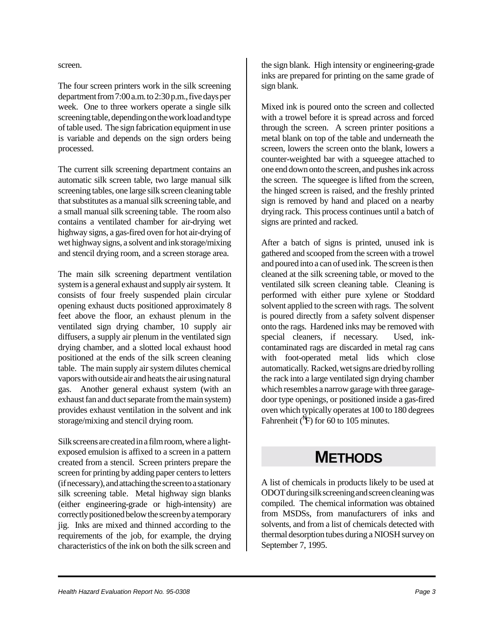screen.

The four screen printers work in the silk screening department from 7:00 a.m. to 2:30 p.m., five days per week. One to three workers operate a single silk screening table, depending on the work load and type of table used. The sign fabrication equipment in use is variable and depends on the sign orders being processed.

The current silk screening department contains an automatic silk screen table, two large manual silk screening tables, one large silk screen cleaning table that substitutes as a manual silk screening table, and a small manual silk screening table. The room also contains a ventilated chamber for air-drying wet highway signs, a gas-fired oven for hot air-drying of wet highway signs, a solvent and ink storage/mixing and stencil drying room, and a screen storage area.

The main silk screening department ventilation system is a general exhaust and supply air system. It consists of four freely suspended plain circular opening exhaust ducts positioned approximately 8 feet above the floor, an exhaust plenum in the ventilated sign drying chamber, 10 supply air diffusers, a supply air plenum in the ventilated sign drying chamber, and a slotted local exhaust hood positioned at the ends of the silk screen cleaning table. The main supply air system dilutes chemical vapors with outside air and heats the air using natural gas. Another general exhaust system (with an exhaust fan and duct separate from the main system) provides exhaust ventilation in the solvent and ink storage/mixing and stencil drying room.

Silk screens are created in a film room, where a lightexposed emulsion is affixed to a screen in a pattern created from a stencil. Screen printers prepare the screen for printing by adding paper centers to letters (if necessary), and attaching the screen to a stationary silk screening table. Metal highway sign blanks (either engineering-grade or high-intensity) are correctly positioned below the screen by a temporary jig. Inks are mixed and thinned according to the requirements of the job, for example, the drying characteristics of the ink on both the silk screen and

the sign blank. High intensity or engineering-grade inks are prepared for printing on the same grade of sign blank.

Mixed ink is poured onto the screen and collected with a trowel before it is spread across and forced through the screen. A screen printer positions a metal blank on top of the table and underneath the screen, lowers the screen onto the blank, lowers a counter-weighted bar with a squeegee attached to one end down onto the screen, and pushes ink across the screen. The squeegee is lifted from the screen, the hinged screen is raised, and the freshly printed sign is removed by hand and placed on a nearby drying rack. This process continues until a batch of signs are printed and racked.

After a batch of signs is printed, unused ink is gathered and scooped from the screen with a trowel and poured into a can of used ink. The screen is then cleaned at the silk screening table, or moved to the ventilated silk screen cleaning table. Cleaning is performed with either pure xylene or Stoddard solvent applied to the screen with rags. The solvent is poured directly from a safety solvent dispenser onto the rags. Hardened inks may be removed with special cleaners, if necessary. Used, inkcontaminated rags are discarded in metal rag cans with foot-operated metal lids which close automatically. Racked, wet signs are dried by rolling the rack into a large ventilated sign drying chamber which resembles a narrow garage with three garagedoor type openings, or positioned inside a gas-fired oven which typically operates at 100 to 180 degrees Fahrenheit ( ${}^{\text{N}}$ F) for 60 to 105 minutes.

## **METHODS**

A list of chemicals in products likely to be used at ODOT during silk screening and screen cleaning was compiled. The chemical information was obtained from MSDSs, from manufacturers of inks and solvents, and from a list of chemicals detected with thermal desorption tubes during a NIOSH survey on September 7, 1995.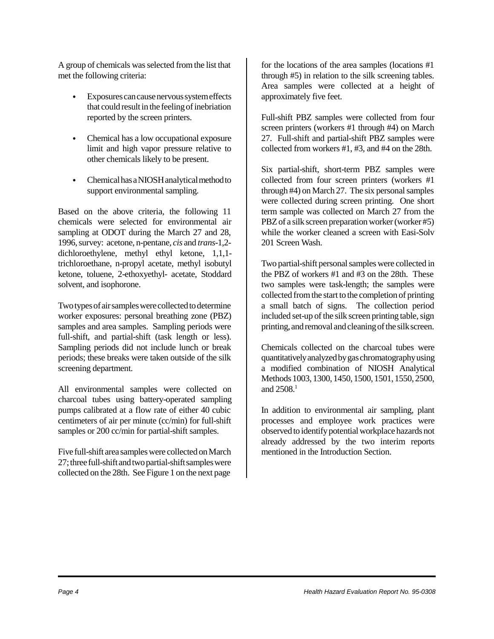A group of chemicals was selected from the list that met the following criteria:

- Exposures can cause nervous system effects that could result in the feeling of inebriation reported by the screen printers.
- Chemical has a low occupational exposure limit and high vapor pressure relative to other chemicals likely to be present.
- Chemical has a NIOSH analytical method to support environmental sampling.

Based on the above criteria, the following 11 chemicals were selected for environmental air sampling at ODOT during the March 27 and 28, 1996, survey: acetone, n-pentane, *cis* and *trans*-1,2 dichloroethylene, methyl ethyl ketone, 1,1,1 trichloroethane, n-propyl acetate, methyl isobutyl ketone, toluene, 2-ethoxyethyl- acetate, Stoddard solvent, and isophorone.

Two types of air samples were collected to determine worker exposures: personal breathing zone (PBZ) samples and area samples. Sampling periods were full-shift, and partial-shift (task length or less). Sampling periods did not include lunch or break periods; these breaks were taken outside of the silk screening department.

All environmental samples were collected on charcoal tubes using battery-operated sampling pumps calibrated at a flow rate of either 40 cubic centimeters of air per minute (cc/min) for full-shift samples or 200 cc/min for partial-shift samples.

Five full-shift area samples were collected on March 27; three full-shift and two partial-shift samples were collected on the 28th. See Figure 1 on the next page

for the locations of the area samples (locations #1 through #5) in relation to the silk screening tables. Area samples were collected at a height of approximately five feet.

Full-shift PBZ samples were collected from four screen printers (workers #1 through #4) on March 27. Full-shift and partial-shift PBZ samples were collected from workers #1, #3, and #4 on the 28th.

Six partial-shift, short-term PBZ samples were collected from four screen printers (workers #1 through #4) on March 27. The six personal samples were collected during screen printing. One short term sample was collected on March 27 from the PBZ of a silk screen preparation worker (worker #5) while the worker cleaned a screen with Easi-Solv 201 Screen Wash.

Two partial-shift personal samples were collected in the PBZ of workers #1 and #3 on the 28th. These two samples were task-length; the samples were collected from the start to the completion of printing a small batch of signs. The collection period included set-up of the silk screen printing table, sign printing, and removal and cleaning of the silk screen.

Chemicals collected on the charcoal tubes were quantitatively analyzed by gas chromatography using a modified combination of NIOSH Analytical Methods 1003, 1300, 1450, 1500, 1501, 1550, 2500, and  $2508<sup>1</sup>$ 

In addition to environmental air sampling, plant processes and employee work practices were observed to identify potential workplace hazards not already addressed by the two interim reports mentioned in the Introduction Section.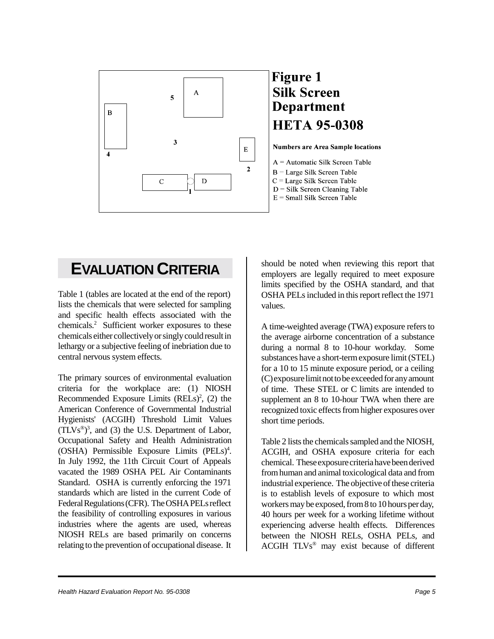

## **EVALUATION CRITERIA**

Table 1 (tables are located at the end of the report) lists the chemicals that were selected for sampling and specific health effects associated with the chemicals.<sup>2</sup> Sufficient worker exposures to these chemicals either collectively or singly could result in lethargy or a subjective feeling of inebriation due to central nervous system effects.

The primary sources of environmental evaluation criteria for the workplace are: (1) NIOSH Recommended Exposure Limits  $(RELs)<sup>2</sup>$ , (2) the American Conference of Governmental Industrial Hygienists' (ACGIH) Threshold Limit Values  $(TLVs<sup>®</sup>)<sup>3</sup>$ , and (3) the U.S. Department of Labor, Occupational Safety and Health Administration (OSHA) Permissible Exposure Limits (PELs)<sup>4</sup>. In July 1992, the 11th Circuit Court of Appeals vacated the 1989 OSHA PEL Air Contaminants Standard. OSHA is currently enforcing the 1971 standards which are listed in the current Code of Federal Regulations (CFR). The OSHA PELs reflect the feasibility of controlling exposures in various industries where the agents are used, whereas NIOSH RELs are based primarily on concerns relating to the prevention of occupational disease. It

should be noted when reviewing this report that employers are legally required to meet exposure limits specified by the OSHA standard, and that OSHA PELs included in this report reflect the 1971 values.

A time-weighted average (TWA) exposure refers to the average airborne concentration of a substance during a normal 8 to 10-hour workday. Some substances have a short-term exposure limit (STEL) for a 10 to 15 minute exposure period, or a ceiling (C) exposure limit not to be exceeded for any amount of time. These STEL or C limits are intended to supplement an 8 to 10-hour TWA when there are recognized toxic effects from higher exposures over short time periods.

Table 2 lists the chemicals sampled and the NIOSH, ACGIH, and OSHA exposure criteria for each chemical. These exposure criteria have been derived from human and animal toxicological data and from industrial experience. The objective of these criteria is to establish levels of exposure to which most workers may be exposed, from 8 to 10 hours per day, 40 hours per week for a working lifetime without experiencing adverse health effects. Differences between the NIOSH RELs, OSHA PELs, and ACGIH TLVs® may exist because of different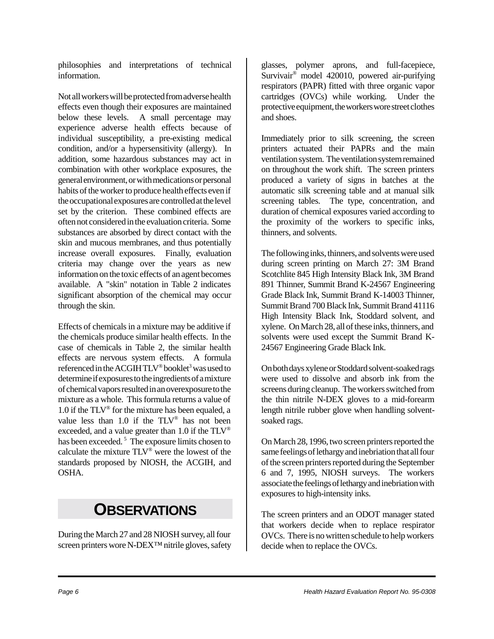philosophies and interpretations of technical information.

Not all workers will be protected from adverse health effects even though their exposures are maintained below these levels. A small percentage may experience adverse health effects because of individual susceptibility, a pre-existing medical condition, and/or a hypersensitivity (allergy). In addition, some hazardous substances may act in combination with other workplace exposures, the general environment, or with medications or personal habits of the worker to produce health effects even if the occupational exposures are controlled at the level set by the criterion. These combined effects are often not considered in the evaluation criteria. Some substances are absorbed by direct contact with the skin and mucous membranes, and thus potentially increase overall exposures. Finally, evaluation criteria may change over the years as new information on the toxic effects of an agent becomes available. A "skin" notation in Table 2 indicates significant absorption of the chemical may occur through the skin.

Effects of chemicals in a mixture may be additive if the chemicals produce similar health effects. In the case of chemicals in Table 2, the similar health effects are nervous system effects. A formula referenced in the ACGIH TLV® booklet<sup>3</sup> was used to determine if exposures to the ingredients of a mixture of chemical vapors resulted in an overexposure to the mixture as a whole. This formula returns a value of 1.0 if the  $TLV^{\circledast}$  for the mixture has been equaled, a value less than 1.0 if the TLV® has not been exceeded, and a value greater than 1.0 if the TLV® has been exceeded.<sup>5</sup> The exposure limits chosen to calculate the mixture TLV® were the lowest of the standards proposed by NIOSH, the ACGIH, and OSHA.

## **OBSERVATIONS**

During the March 27 and 28 NIOSH survey, all four screen printers wore N-DEX™ nitrile gloves, safety glasses, polymer aprons, and full-facepiece, Survivair® model 420010, powered air-purifying respirators (PAPR) fitted with three organic vapor cartridges (OVCs) while working. Under the protective equipment, the workers wore street clothes and shoes.

Immediately prior to silk screening, the screen printers actuated their PAPRs and the main ventilation system. The ventilation system remained on throughout the work shift. The screen printers produced a variety of signs in batches at the automatic silk screening table and at manual silk screening tables. The type, concentration, and duration of chemical exposures varied according to the proximity of the workers to specific inks, thinners, and solvents.

The following inks, thinners, and solvents were used during screen printing on March 27: 3M Brand Scotchlite 845 High Intensity Black Ink, 3M Brand 891 Thinner, Summit Brand K-24567 Engineering Grade Black Ink, Summit Brand K-14003 Thinner, Summit Brand 700 Black Ink, Summit Brand 41116 High Intensity Black Ink, Stoddard solvent, and xylene. On March 28, all of these inks, thinners, and solvents were used except the Summit Brand K-24567 Engineering Grade Black Ink.

On both days xylene or Stoddard solvent-soaked rags were used to dissolve and absorb ink from the screens during cleanup. The workers switched from the thin nitrile N-DEX gloves to a mid-forearm length nitrile rubber glove when handling solventsoaked rags.

On March 28, 1996, two screen printers reported the same feelings of lethargy and inebriation that all four of the screen printers reported during the September 6 and 7, 1995, NIOSH surveys. The workers associate the feelings of lethargy and inebriation with exposures to high-intensity inks.

The screen printers and an ODOT manager stated that workers decide when to replace respirator OVCs. There is no written schedule to help workers decide when to replace the OVCs.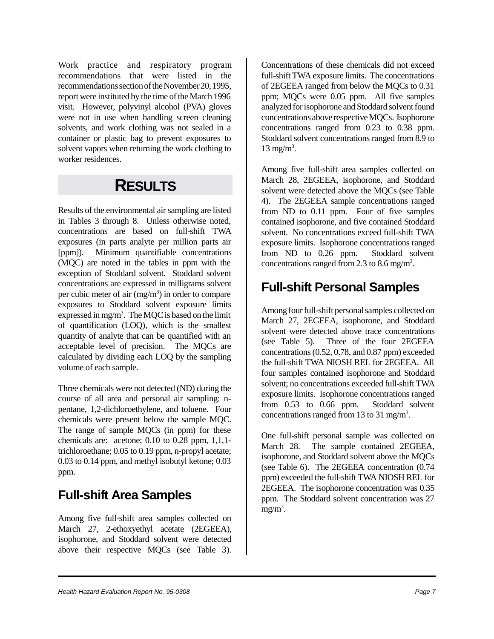Work practice and respiratory program recommendations that were listed in the recommendations section of the November 20, 1995, report were instituted by the time of the March 1996 visit. However, polyvinyl alcohol (PVA) gloves were not in use when handling screen cleaning solvents, and work clothing was not sealed in a container or plastic bag to prevent exposures to solvent vapors when returning the work clothing to worker residences.

## **RESULTS**

Results of the environmental air sampling are listed in Tables 3 through 8. Unless otherwise noted, concentrations are based on full-shift TWA exposures (in parts analyte per million parts air [ppm]). Minimum quantifiable concentrations (MQC) are noted in the tables in ppm with the exception of Stoddard solvent. Stoddard solvent concentrations are expressed in milligrams solvent per cubic meter of air  $(mg/m<sup>3</sup>)$  in order to compare exposures to Stoddard solvent exposure limits expressed in mg/m<sup>3</sup>. The MQC is based on the limit of quantification (LOQ), which is the smallest quantity of analyte that can be quantified with an acceptable level of precision. The MQCs are calculated by dividing each LOQ by the sampling volume of each sample.

Three chemicals were not detected (ND) during the course of all area and personal air sampling: npentane, 1,2-dichloroethylene, and toluene. Four chemicals were present below the sample MQC. The range of sample MQCs (in ppm) for these chemicals are: acetone;  $0.10$  to  $0.28$  ppm,  $1.1.1$ trichloroethane; 0.05 to 0.19 ppm, n-propyl acetate; 0.03 to 0.14 ppm, and methyl isobutyl ketone; 0.03 ppm.

## **Full-shift Area Samples**

Among five full-shift area samples collected on March 27, 2-ethoxyethyl acetate (2EGEEA), isophorone, and Stoddard solvent were detected above their respective MQCs (see Table 3). Concentrations of these chemicals did not exceed full-shift TWA exposure limits. The concentrations of 2EGEEA ranged from below the MQCs to 0.31 ppm; MQCs were 0.05 ppm. All five samples analyzed for isophorone and Stoddard solvent found concentrations above respective MQCs. Isophorone concentrations ranged from 0.23 to 0.38 ppm. Stoddard solvent concentrations ranged from 8.9 to  $13 \text{ mg/m}^3$ .

Among five full-shift area samples collected on March 28, 2EGEEA, isophorone, and Stoddard solvent were detected above the MQCs (see Table 4). The 2EGEEA sample concentrations ranged from ND to 0.11 ppm. Four of five samples contained isophorone, and five contained Stoddard solvent. No concentrations exceed full-shift TWA exposure limits. Isophorone concentrations ranged from ND to 0.26 ppm. Stoddard solvent concentrations ranged from 2.3 to 8.6 mg/m<sup>3</sup>.

## **Full-shift Personal Samples**

Among four full-shift personal samples collected on March 27, 2EGEEA, isophorone, and Stoddard solvent were detected above trace concentrations (see Table 5). Three of the four 2EGEEA concentrations (0.52, 0.78, and 0.87 ppm) exceeded the full-shift TWA NIOSH REL for 2EGEEA. All four samples contained isophorone and Stoddard solvent; no concentrations exceeded full-shift TWA exposure limits. Isophorone concentrations ranged from 0.53 to 0.66 ppm. Stoddard solvent concentrations ranged from 13 to 31 mg/m<sup>3</sup>.

One full-shift personal sample was collected on March 28. The sample contained 2EGEEA, isophorone, and Stoddard solvent above the MQCs (see Table 6). The 2EGEEA concentration (0.74 ppm) exceeded the full-shift TWA NIOSH REL for 2EGEEA. The isophorone concentration was 0.35 ppm. The Stoddard solvent concentration was 27  $mg/m<sup>3</sup>$ .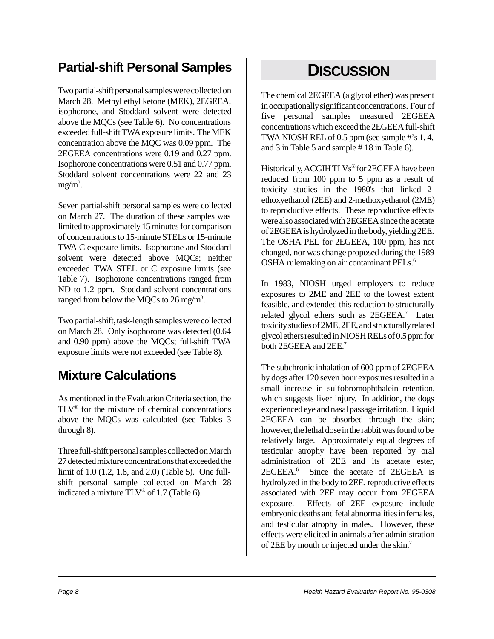## **Partial-shift Personal Samples**

Two partial-shift personal samples were collected on March 28. Methyl ethyl ketone (MEK), 2EGEEA, isophorone, and Stoddard solvent were detected above the MQCs (see Table 6). No concentrations exceeded full-shift TWA exposure limits. The MEK concentration above the MQC was 0.09 ppm. The 2EGEEA concentrations were 0.19 and 0.27 ppm. Isophorone concentrations were 0.51 and 0.77 ppm. Stoddard solvent concentrations were 22 and 23  $mg/m<sup>3</sup>$ .

Seven partial-shift personal samples were collected on March 27. The duration of these samples was limited to approximately 15 minutes for comparison of concentrations to 15-minute STELs or 15-minute TWA C exposure limits. Isophorone and Stoddard solvent were detected above MQCs; neither exceeded TWA STEL or C exposure limits (see Table 7). Isophorone concentrations ranged from ND to 1.2 ppm. Stoddard solvent concentrations ranged from below the MQCs to  $26 \text{ mg/m}^3$ .

Two partial-shift, task-length samples were collected on March 28. Only isophorone was detected (0.64 and 0.90 ppm) above the MQCs; full-shift TWA exposure limits were not exceeded (see Table 8).

## **Mixture Calculations**

As mentioned in the Evaluation Criteria section, the TLV® for the mixture of chemical concentrations above the MQCs was calculated (see Tables 3 through 8).

Three full-shift personal samples collected on March 27 detected mixture concentrations that exceeded the limit of 1.0 (1.2, 1.8, and 2.0) (Table 5). One fullshift personal sample collected on March 28 indicated a mixture TLV® of 1.7 (Table 6).

## **DISCUSSION**

The chemical 2EGEEA (a glycol ether) was present in occupationally significant concentrations. Four of five personal samples measured 2EGEEA concentrations which exceed the 2EGEEA full-shift TWA NIOSH REL of 0.5 ppm (see sample #'s 1, 4, and 3 in Table 5 and sample # 18 in Table 6).

Historically, ACGIH TLVs® for 2EGEEA have been reduced from 100 ppm to 5 ppm as a result of toxicity studies in the 1980's that linked 2 ethoxyethanol (2EE) and 2-methoxyethanol (2ME) to reproductive effects. These reproductive effects were also associated with 2EGEEA since the acetate of 2EGEEA is hydrolyzed in the body, yielding 2EE. The OSHA PEL for 2EGEEA, 100 ppm, has not changed, nor was change proposed during the 1989 OSHA rulemaking on air contaminant PELs.<sup>6</sup>

In 1983, NIOSH urged employers to reduce exposures to 2ME and 2EE to the lowest extent feasible, and extended this reduction to structurally related glycol ethers such as 2EGEEA.<sup>7</sup> Later toxicity studies of 2ME, 2EE, and structurally related glycol ethers resulted in NIOSH RELs of 0.5 ppm for both 2EGEEA and 2EE.<sup>7</sup>

The subchronic inhalation of 600 ppm of 2EGEEA by dogs after 120 seven hour exposures resulted in a small increase in sulfobromophthalein retention, which suggests liver injury. In addition, the dogs experienced eye and nasal passage irritation. Liquid 2EGEEA can be absorbed through the skin; however, the lethal dose in the rabbit was found to be relatively large. Approximately equal degrees of testicular atrophy have been reported by oral administration of 2EE and its acetate ester, 2EGEEA.6 Since the acetate of 2EGEEA is hydrolyzed in the body to 2EE, reproductive effects associated with 2EE may occur from 2EGEEA exposure. Effects of 2EE exposure include embryonic deaths and fetal abnormalities in females, and testicular atrophy in males. However, these effects were elicited in animals after administration of 2EE by mouth or injected under the skin.7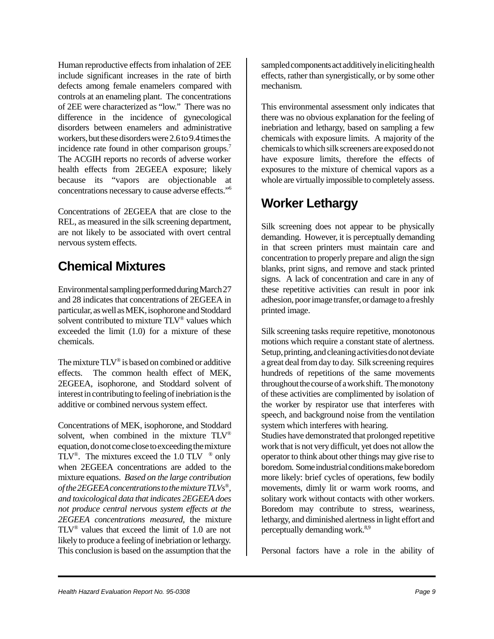Human reproductive effects from inhalation of 2EE include significant increases in the rate of birth defects among female enamelers compared with controls at an enameling plant. The concentrations of 2EE were characterized as "low." There was no difference in the incidence of gynecological disorders between enamelers and administrative workers, but these disorders were 2.6 to 9.4 times the incidence rate found in other comparison groups.<sup>7</sup> The ACGIH reports no records of adverse worker health effects from 2EGEEA exposure; likely because its "vapors are objectionable at concentrations necessary to cause adverse effects."6

Concentrations of 2EGEEA that are close to the REL, as measured in the silk screening department, are not likely to be associated with overt central nervous system effects.

## **Chemical Mixtures**

Environmental sampling performed during March 27 and 28 indicates that concentrations of 2EGEEA in particular, as well as MEK, isophorone and Stoddard solvent contributed to mixture TLV® values which exceeded the limit (1.0) for a mixture of these chemicals.

The mixture  $TLV$ <sup>®</sup> is based on combined or additive effects. The common health effect of MEK, 2EGEEA, isophorone, and Stoddard solvent of interest in contributing to feeling of inebriation is the additive or combined nervous system effect.

Concentrations of MEK, isophorone, and Stoddard solvent, when combined in the mixture TLV® equation, do not come close to exceeding the mixture TLV<sup>®</sup>. The mixtures exceed the 1.0 TLV  $\degree$  only when 2EGEEA concentrations are added to the mixture equations. *Based on the large contribution of the 2EGEEA concentrations to the mixture TLVs®, and toxicological data that indicates 2EGEEA does not produce central nervous system effects at the 2EGEEA concentrations measured,* the mixture TLV® values that exceed the limit of 1.0 are not likely to produce a feeling of inebriation or lethargy. This conclusion is based on the assumption that the

sampled components act additively in eliciting health effects, rather than synergistically, or by some other mechanism.

This environmental assessment only indicates that there was no obvious explanation for the feeling of inebriation and lethargy, based on sampling a few chemicals with exposure limits. A majority of the chemicals to which silk screeners are exposed do not have exposure limits, therefore the effects of exposures to the mixture of chemical vapors as a whole are virtually impossible to completely assess.

## **Worker Lethargy**

Silk screening does not appear to be physically demanding. However, it is perceptually demanding in that screen printers must maintain care and concentration to properly prepare and align the sign blanks, print signs, and remove and stack printed signs. A lack of concentration and care in any of these repetitive activities can result in poor ink adhesion, poor image transfer, or damage to a freshly printed image.

Silk screening tasks require repetitive, monotonous motions which require a constant state of alertness. Setup, printing, and cleaning activities do not deviate a great deal from day to day. Silk screening requires hundreds of repetitions of the same movements throughout the course of a work shift. The monotony of these activities are complimented by isolation of the worker by respirator use that interferes with speech, and background noise from the ventilation system which interferes with hearing.

Studies have demonstrated that prolonged repetitive work that is not very difficult, yet does not allow the operator to think about other things may give rise to boredom. Some industrial conditions make boredom more likely: brief cycles of operations, few bodily movements, dimly lit or warm work rooms, and solitary work without contacts with other workers. Boredom may contribute to stress, weariness, lethargy, and diminished alertness in light effort and perceptually demanding work.<sup>8,9</sup>

Personal factors have a role in the ability of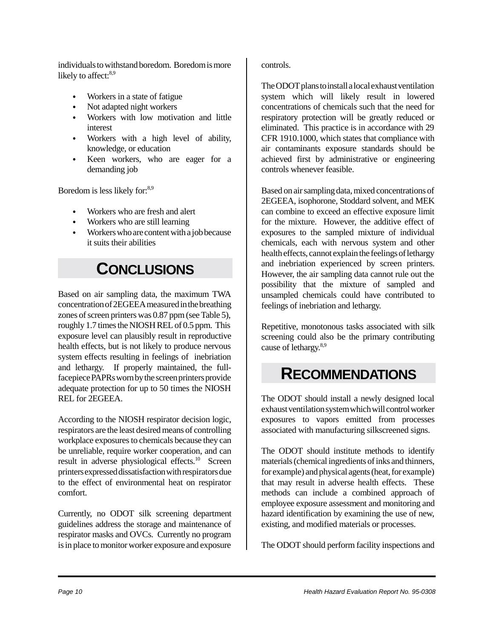individuals to withstand boredom. Boredom is more likely to affect:<sup>8,9</sup>

- Workers in a state of fatigue
- Not adapted night workers
- Workers with low motivation and little interest
- Workers with a high level of ability, knowledge, or education
- Keen workers, who are eager for a demanding job

Boredom is less likely for:<sup>8,9</sup>

- Workers who are fresh and alert
- Workers who are still learning
- $\bullet$  Workers who are content with a job because it suits their abilities

## **CONCLUSIONS**

Based on air sampling data, the maximum TWA concentration of 2EGEEA measured in the breathing zones of screen printers was 0.87 ppm (see Table 5), roughly 1.7 times the NIOSH REL of 0.5 ppm. This exposure level can plausibly result in reproductive health effects, but is not likely to produce nervous system effects resulting in feelings of inebriation and lethargy. If properly maintained, the fullfacepiece PAPRs worn by the screen printers provide adequate protection for up to 50 times the NIOSH REL for 2EGEEA.

According to the NIOSH respirator decision logic, respirators are the least desired means of controlling workplace exposures to chemicals because they can be unreliable, require worker cooperation, and can result in adverse physiological effects.<sup>10</sup> Screen printers expressed dissatisfaction with respirators due to the effect of environmental heat on respirator comfort.

Currently, no ODOT silk screening department guidelines address the storage and maintenance of respirator masks and OVCs. Currently no program is in place to monitor worker exposure and exposure

controls.

The ODOT plans to install a local exhaust ventilation system which will likely result in lowered concentrations of chemicals such that the need for respiratory protection will be greatly reduced or eliminated. This practice is in accordance with 29 CFR 1910.1000, which states that compliance with air contaminants exposure standards should be achieved first by administrative or engineering controls whenever feasible.

Based on air sampling data, mixed concentrations of 2EGEEA, isophorone, Stoddard solvent, and MEK can combine to exceed an effective exposure limit for the mixture. However, the additive effect of exposures to the sampled mixture of individual chemicals, each with nervous system and other health effects, cannot explain the feelings of lethargy and inebriation experienced by screen printers. However, the air sampling data cannot rule out the possibility that the mixture of sampled and unsampled chemicals could have contributed to feelings of inebriation and lethargy.

Repetitive, monotonous tasks associated with silk screening could also be the primary contributing cause of lethargy.<sup>8,9</sup>

## **RECOMMENDATIONS**

The ODOT should install a newly designed local exhaust ventilation system which will control worker exposures to vapors emitted from processes associated with manufacturing silkscreened signs.

The ODOT should institute methods to identify materials (chemical ingredients of inks and thinners, for example) and physical agents (heat, for example) that may result in adverse health effects. These methods can include a combined approach of employee exposure assessment and monitoring and hazard identification by examining the use of new, existing, and modified materials or processes.

The ODOT should perform facility inspections and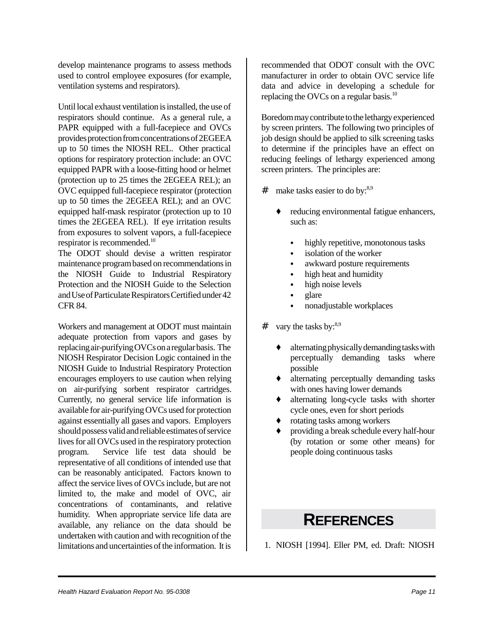develop maintenance programs to assess methods used to control employee exposures (for example, ventilation systems and respirators).

Until local exhaust ventilation is installed, the use of respirators should continue. As a general rule, a PAPR equipped with a full-facepiece and OVCs provides protection from concentrations of 2EGEEA up to 50 times the NIOSH REL. Other practical options for respiratory protection include: an OVC equipped PAPR with a loose-fitting hood or helmet (protection up to 25 times the 2EGEEA REL); an OVC equipped full-facepiece respirator (protection up to 50 times the 2EGEEA REL); and an OVC equipped half-mask respirator (protection up to 10 times the 2EGEEA REL). If eye irritation results from exposures to solvent vapors, a full-facepiece respirator is recommended.10

The ODOT should devise a written respirator maintenance program based on recommendations in the NIOSH Guide to Industrial Respiratory Protection and the NIOSH Guide to the Selection and Use of Particulate Respirators Certified under 42 CFR 84.

Workers and management at ODOT must maintain adequate protection from vapors and gases by replacing air-purifying OVCs on a regular basis. The NIOSH Respirator Decision Logic contained in the NIOSH Guide to Industrial Respiratory Protection encourages employers to use caution when relying on air-purifying sorbent respirator cartridges. Currently, no general service life information is available for air-purifying OVCs used for protection against essentially all gases and vapors. Employers should possess valid and reliable estimates of service lives for all OVCs used in the respiratory protection program. Service life test data should be representative of all conditions of intended use that can be reasonably anticipated. Factors known to affect the service lives of OVCs include, but are not limited to, the make and model of OVC, air concentrations of contaminants, and relative humidity. When appropriate service life data are available, any reliance on the data should be undertaken with caution and with recognition of the limitations and uncertainties of the information. It is

recommended that ODOT consult with the OVC manufacturer in order to obtain OVC service life data and advice in developing a schedule for replacing the OVCs on a regular basis.<sup>10</sup>

Boredom may contribute to the lethargy experienced by screen printers. The following two principles of job design should be applied to silk screening tasks to determine if the principles have an effect on reducing feelings of lethargy experienced among screen printers. The principles are:

- $\#$  make tasks easier to do by:<sup>8,9</sup>
	- ' reducing environmental fatigue enhancers, such as:
		- highly repetitive, monotonous tasks
		- isolation of the worker
		- awkward posture requirements
		- high heat and humidity
		- high noise levels
		- $\bullet$  glare
		- nonadjustable workplaces
- $\#$  vary the tasks by:<sup>8,9</sup>
	- ' alternating physically demanding tasks with perceptually demanding tasks where possible
	- alternating perceptually demanding tasks with ones having lower demands
	- alternating long-cycle tasks with shorter cycle ones, even for short periods
	- ' rotating tasks among workers
	- ' providing a break schedule every half-hour (by rotation or some other means) for people doing continuous tasks

## **REFERENCES**

1. NIOSH [1994]. Eller PM, ed. Draft: NIOSH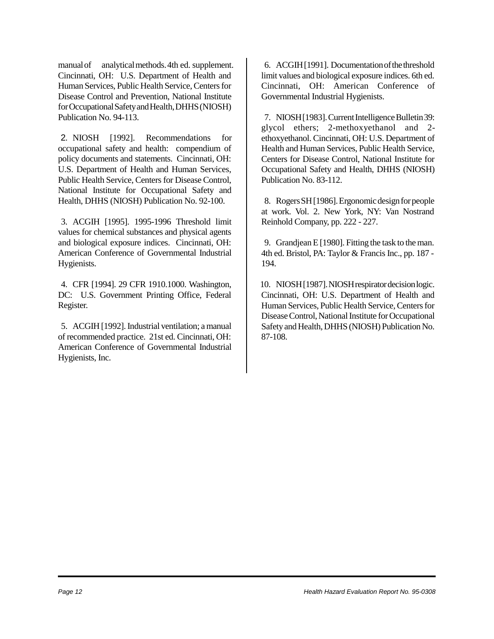manual of analytical methods. 4th ed. supplement. Cincinnati, OH: U.S. Department of Health and Human Services, Public Health Service, Centers for Disease Control and Prevention, National Institute for Occupational Safety and Health, DHHS (NIOSH) Publication No. 94-113.

2. NIOSH [1992]. Recommendations for occupational safety and health: compendium of policy documents and statements. Cincinnati, OH: U.S. Department of Health and Human Services, Public Health Service, Centers for Disease Control, National Institute for Occupational Safety and Health, DHHS (NIOSH) Publication No. 92-100.

3. ACGIH [1995]. 1995-1996 Threshold limit values for chemical substances and physical agents and biological exposure indices. Cincinnati, OH: American Conference of Governmental Industrial Hygienists.

4. CFR [1994]. 29 CFR 1910.1000. Washington, DC: U.S. Government Printing Office, Federal Register.

5. ACGIH [1992]. Industrial ventilation; a manual of recommended practice. 21st ed. Cincinnati, OH: American Conference of Governmental Industrial Hygienists, Inc.

6. ACGIH [1991]. Documentation of the threshold limit values and biological exposure indices. 6th ed. Cincinnati, OH: American Conference of Governmental Industrial Hygienists.

7. NIOSH [1983]. Current Intelligence Bulletin 39: glycol ethers; 2-methoxyethanol and 2 ethoxyethanol. Cincinnati, OH: U.S. Department of Health and Human Services, Public Health Service, Centers for Disease Control, National Institute for Occupational Safety and Health, DHHS (NIOSH) Publication No. 83-112.

8. Rogers SH [1986]. Ergonomic design for people at work. Vol. 2. New York, NY: Van Nostrand Reinhold Company, pp. 222 - 227.

9. Grandjean E [1980]. Fitting the task to the man. 4th ed. Bristol, PA: Taylor & Francis Inc., pp. 187 - 194.

10. NIOSH [1987]. NIOSH respirator decision logic. Cincinnati, OH: U.S. Department of Health and Human Services, Public Health Service, Centers for Disease Control, National Institute for Occupational Safety and Health, DHHS (NIOSH) Publication No. 87-108.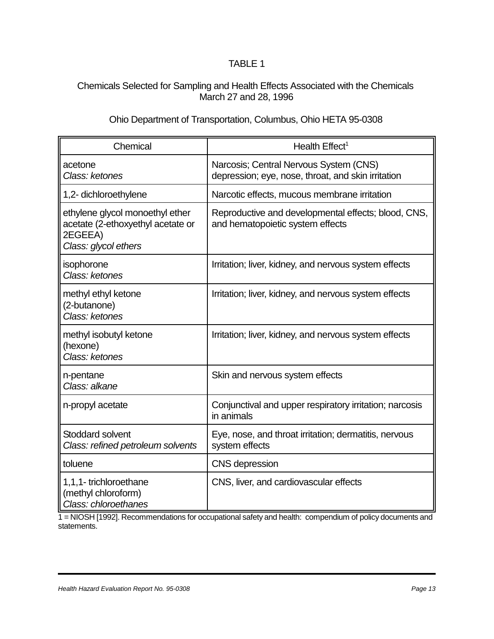### Chemicals Selected for Sampling and Health Effects Associated with the Chemicals March 27 and 28, 1996

### Ohio Department of Transportation, Columbus, Ohio HETA 95-0308

| Chemical                                                                                                | Health Effect <sup>1</sup>                                                                   |
|---------------------------------------------------------------------------------------------------------|----------------------------------------------------------------------------------------------|
| acetone<br>Class: ketones                                                                               | Narcosis; Central Nervous System (CNS)<br>depression; eye, nose, throat, and skin irritation |
| 1,2- dichloroethylene                                                                                   | Narcotic effects, mucous membrane irritation                                                 |
| ethylene glycol monoethyl ether<br>acetate (2-ethoxyethyl acetate or<br>2EGEEA)<br>Class: glycol ethers | Reproductive and developmental effects; blood, CNS,<br>and hematopoietic system effects      |
| isophorone<br>Class: ketones                                                                            | Irritation; liver, kidney, and nervous system effects                                        |
| methyl ethyl ketone<br>(2-butanone)<br>Class: ketones                                                   | Irritation; liver, kidney, and nervous system effects                                        |
| methyl isobutyl ketone<br>(hexone)<br>Class: ketones                                                    | Irritation; liver, kidney, and nervous system effects                                        |
| n-pentane<br>Class: alkane                                                                              | Skin and nervous system effects                                                              |
| n-propyl acetate                                                                                        | Conjunctival and upper respiratory irritation; narcosis<br>in animals                        |
| Stoddard solvent<br>Class: refined petroleum solvents                                                   | Eye, nose, and throat irritation; dermatitis, nervous<br>system effects                      |
| toluene                                                                                                 | <b>CNS</b> depression                                                                        |
| 1,1,1-trichloroethane<br>(methyl chloroform)<br>Class: chloroethanes                                    | CNS, liver, and cardiovascular effects                                                       |

1 = NIOSH [1992]. Recommendations for occupational safety and health: compendium of policy documents and statements.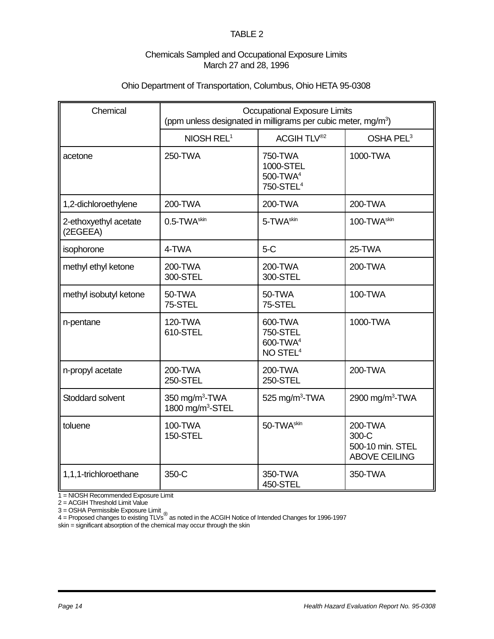### Chemicals Sampled and Occupational Exposure Limits March 27 and 28, 1996

### Ohio Department of Transportation, Columbus, Ohio HETA 95-0308

| Chemical                          | <b>Occupational Exposure Limits</b><br>(ppm unless designated in milligrams per cubic meter, mg/m <sup>3</sup> ) |                                                                            |                                                              |  |  |  |  |  |  |  |
|-----------------------------------|------------------------------------------------------------------------------------------------------------------|----------------------------------------------------------------------------|--------------------------------------------------------------|--|--|--|--|--|--|--|
|                                   | NIOSH REL <sup>1</sup>                                                                                           | ACGIH TLV <sup>®2</sup>                                                    | OSHA PEL <sup>3</sup>                                        |  |  |  |  |  |  |  |
| acetone                           | 250-TWA                                                                                                          | 750-TWA<br>1000-STEL<br>500-TWA <sup>4</sup><br>750-STEL <sup>4</sup>      | 1000-TWA                                                     |  |  |  |  |  |  |  |
| 1,2-dichloroethylene              | 200-TWA                                                                                                          | 200-TWA                                                                    | 200-TWA                                                      |  |  |  |  |  |  |  |
| 2-ethoxyethyl acetate<br>(2EGEEA) | 0.5-TWA <sup>skin</sup>                                                                                          | 5-TWA <sup>skin</sup>                                                      | 100-TWA <sup>skin</sup>                                      |  |  |  |  |  |  |  |
| isophorone                        | 4-TWA                                                                                                            | $5-C$                                                                      | 25-TWA                                                       |  |  |  |  |  |  |  |
| methyl ethyl ketone               | 200-TWA<br>300-STEL                                                                                              | 200-TWA<br>300-STEL                                                        | 200-TWA                                                      |  |  |  |  |  |  |  |
| methyl isobutyl ketone            | 50-TWA<br>75-STEL                                                                                                | 50-TWA<br>75-STEL                                                          | 100-TWA                                                      |  |  |  |  |  |  |  |
| n-pentane                         | 120-TWA<br>610-STEL                                                                                              | 600-TWA<br><b>750-STEL</b><br>600-TWA <sup>4</sup><br>NO STEL <sup>4</sup> | 1000-TWA                                                     |  |  |  |  |  |  |  |
| n-propyl acetate                  | 200-TWA<br>250-STEL                                                                                              | 200-TWA<br>250-STEL                                                        | 200-TWA                                                      |  |  |  |  |  |  |  |
| Stoddard solvent                  | 350 mg/m <sup>3</sup> -TWA<br>1800 mg/m <sup>3</sup> -STEL                                                       | 525 mg/m <sup>3</sup> -TWA                                                 | 2900 mg/m <sup>3</sup> -TWA                                  |  |  |  |  |  |  |  |
| toluene                           | 100-TWA<br><b>150-STEL</b>                                                                                       | 50-TWA <sup>skin</sup>                                                     | 200-TWA<br>300-C<br>500-10 min. STEL<br><b>ABOVE CEILING</b> |  |  |  |  |  |  |  |
| 1,1,1-trichloroethane             | 350-C                                                                                                            | 350-TWA<br>450-STEL                                                        | 350-TWA                                                      |  |  |  |  |  |  |  |

1 = NIOSH Recommended Exposure Limit

2 = ACGIH Threshold Limit Value

3 = OSHA Permissible Exposure Limit <sub>®</sub><br>4 = Proposed changes to existing TLVs <sup>®</sup> as noted in the ACGIH Notice of Intended Changes for 1996-1997 skin = significant absorption of the chemical may occur through the skin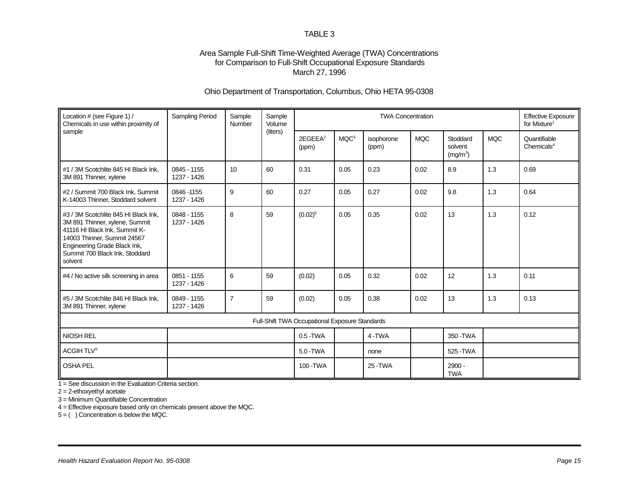### Area Sample Full-Shift Time-Weighted Average (TWA) Concentrations for Comparison to Full-Shift Occupational Exposure Standards March 27, 1996

### Ohio Department of Transportation, Columbus, Ohio HETA 95-0308

| Location # (see Figure 1) /<br>Chemicals in use within proximity of                                                                                                                                                 | <b>Sampling Period</b>     | Sample<br>Number | Sample<br>Volume |                                                |                  | <b>TWA Concentration</b> |            |                                             |            | <b>Effective Exposure</b><br>for Mixture <sup>1</sup> |
|---------------------------------------------------------------------------------------------------------------------------------------------------------------------------------------------------------------------|----------------------------|------------------|------------------|------------------------------------------------|------------------|--------------------------|------------|---------------------------------------------|------------|-------------------------------------------------------|
| sample                                                                                                                                                                                                              |                            |                  | (liters)         | 2EGEEA <sup>2</sup><br>(ppm)                   | MQC <sup>3</sup> | isophorone<br>(ppm)      | <b>MQC</b> | Stoddard<br>solvent<br>(mg/m <sup>3</sup> ) | <b>MQC</b> | Quantifiable<br>Chemicals $4$                         |
| #1 / 3M Scotchlite 845 HI Black Ink.<br>3M 891 Thinner, xylene                                                                                                                                                      | 0845 - 1155<br>1237 - 1426 | 10               | 60               | 0.31                                           | 0.05             | 0.23                     | 0.02       | 8.9                                         | 1.3        | 0.69                                                  |
| #2 / Summit 700 Black Ink, Summit<br>K-14003 Thinner, Stoddard solvent                                                                                                                                              | 0846-1155<br>1237 - 1426   | 9                | 60               | 0.27                                           | 0.05             | 0.27                     | 0.02       | 9.8                                         | 1.3        | 0.64                                                  |
| #3 / 3M Scotchlite 845 HI Black Ink.<br>3M 891 Thinner, xylene, Summit<br>41116 HI Black Ink, Summit K-<br>14003 Thinner, Summit 24567<br>Engineering Grade Black Ink,<br>Summit 700 Black Ink, Stoddard<br>solvent | 0848 - 1155<br>1237 - 1426 | 8                | 59               | $(0.02)^5$                                     | 0.05             | 0.35                     | 0.02       | 13                                          | 1.3        | 0.12                                                  |
| #4 / No active silk screening in area                                                                                                                                                                               | 0851 - 1155<br>1237 - 1426 | 6                | 59               | (0.02)                                         | 0.05             | 0.32                     | 0.02       | 12                                          | 1.3        | 0.11                                                  |
| #5 / 3M Scotchlite 846 HI Black Ink,<br>3M 891 Thinner, xylene                                                                                                                                                      | 0849 - 1155<br>1237 - 1426 | $\overline{7}$   | 59               | (0.02)                                         | 0.05             | 0.38                     | 0.02       | 13                                          | 1.3        | 0.13                                                  |
|                                                                                                                                                                                                                     |                            |                  |                  | Full-Shift TWA Occupational Exposure Standards |                  |                          |            |                                             |            |                                                       |
| <b>NIOSH REL</b>                                                                                                                                                                                                    |                            |                  |                  | $0.5 - TWA$                                    |                  | 4-TWA                    |            | 350 - TWA                                   |            |                                                       |
| ACGIH TLV®                                                                                                                                                                                                          |                            |                  |                  | 5.0 - TWA                                      |                  | none                     |            | 525 - TWA                                   |            |                                                       |
| <b>OSHA PEL</b>                                                                                                                                                                                                     |                            |                  |                  | 100 - TWA                                      |                  | 25 - TWA                 |            | 2900 -<br><b>TWA</b>                        |            |                                                       |

1 = See discussion in the Evaluation Criteria section.

2 = 2-ethoxyethyl acetate

3 = Minimum Quantifiable Concentration

4 = Effective exposure based only on chemicals present above the MQC.

 $5 = ( )$  Concentration is below the MQC.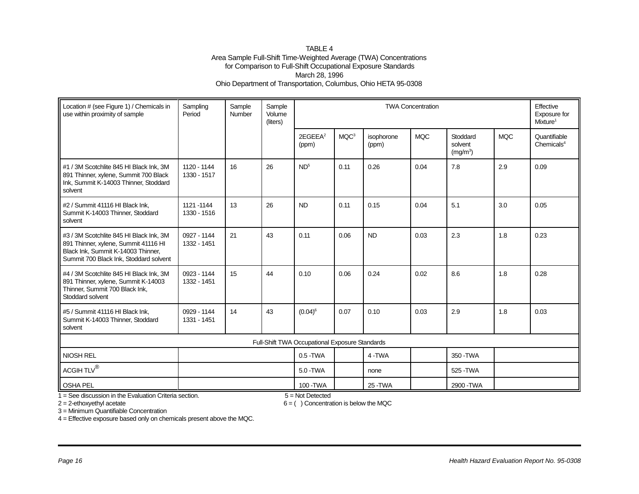#### TABLE 4 Area Sample Full-Shift Time-Weighted Average (TWA) Concentrations for Comparison to Full-Shift Occupational Exposure Standards March 28, 1996 Ohio Department of Transportation, Columbus, Ohio HETA 95-0308

| Location # (see Figure 1) / Chemicals in<br>use within proximity of sample                                                                                      | Sampling<br>Period         | Sample<br>Number | Sample<br>Volume<br>(liters) | Effective<br><b>TWA Concentration</b><br>Exposure for<br>Mixture <sup>1</sup> |                  |                     |            |                                             |            |                                        |
|-----------------------------------------------------------------------------------------------------------------------------------------------------------------|----------------------------|------------------|------------------------------|-------------------------------------------------------------------------------|------------------|---------------------|------------|---------------------------------------------|------------|----------------------------------------|
|                                                                                                                                                                 |                            |                  |                              | 2EGEEA <sup>2</sup><br>(ppm)                                                  | MQC <sup>3</sup> | isophorone<br>(ppm) | <b>MQC</b> | Stoddard<br>solvent<br>(mg/m <sup>3</sup> ) | <b>MQC</b> | Quantifiable<br>Chemicals <sup>4</sup> |
| #1 / 3M Scotchlite 845 HI Black Ink, 3M<br>891 Thinner, xylene, Summit 700 Black<br>Ink, Summit K-14003 Thinner, Stoddard<br>solvent                            | 1120 - 1144<br>1330 - 1517 | 16               | 26                           | ND <sup>5</sup>                                                               | 0.11             | 0.26                | 0.04       | 7.8                                         | 2.9        | 0.09                                   |
| #2 / Summit 41116 HI Black Ink,<br>Summit K-14003 Thinner, Stoddard<br>solvent                                                                                  | 1121-1144<br>1330 - 1516   | 13               | 26                           | <b>ND</b>                                                                     | 0.11             | 0.15                | 0.04       | 5.1                                         | 3.0        | 0.05                                   |
| #3 / 3M Scotchlite 845 HI Black Ink, 3M<br>891 Thinner, xylene, Summit 41116 HI<br>Black Ink, Summit K-14003 Thinner,<br>Summit 700 Black Ink, Stoddard solvent | 0927 - 1144<br>1332 - 1451 | 21               | 43                           | 0.11                                                                          | 0.06             | <b>ND</b>           | 0.03       | 2.3                                         | 1.8        | 0.23                                   |
| #4 / 3M Scotchlite 845 HI Black Ink, 3M<br>891 Thinner, xylene, Summit K-14003<br>Thinner, Summit 700 Black Ink,<br>Stoddard solvent                            | 0923 - 1144<br>1332 - 1451 | 15               | 44                           | 0.10                                                                          | 0.06             | 0.24                | 0.02       | 8.6                                         | 1.8        | 0.28                                   |
| #5 / Summit 41116 HI Black Ink,<br>Summit K-14003 Thinner, Stoddard<br>solvent                                                                                  | 0929 - 1144<br>1331 - 1451 | 14               | 43                           | $(0.04)^6$                                                                    | 0.07             | 0.10                | 0.03       | 2.9                                         | 1.8        | 0.03                                   |
|                                                                                                                                                                 |                            |                  |                              | Full-Shift TWA Occupational Exposure Standards                                |                  |                     |            |                                             |            |                                        |
| NIOSH REL                                                                                                                                                       |                            |                  |                              | $0.5 - TWA$                                                                   |                  | 4-TWA               |            | 350 - TWA                                   |            |                                        |
| $\mathsf{ACGIH} \:\mathsf{TLV}^{\circledR}$                                                                                                                     |                            |                  |                              | 5.0 - TWA                                                                     |                  | none                |            | 525 - TWA                                   |            |                                        |
| OSHA PEL                                                                                                                                                        |                            |                  |                              | 100 - TWA                                                                     |                  | 25 - TWA            |            | 2900 - TWA                                  |            |                                        |

 $1 =$  See discussion in the Evaluation Criteria section.  $5 =$  Not Detected

 $2 = 2$ -ethoxyethyl acetate 6 = ( ) Concentration is below the MQC

3 = Minimum Quantifiable Concentration

4 = Effective exposure based only on chemicals present above the MQC.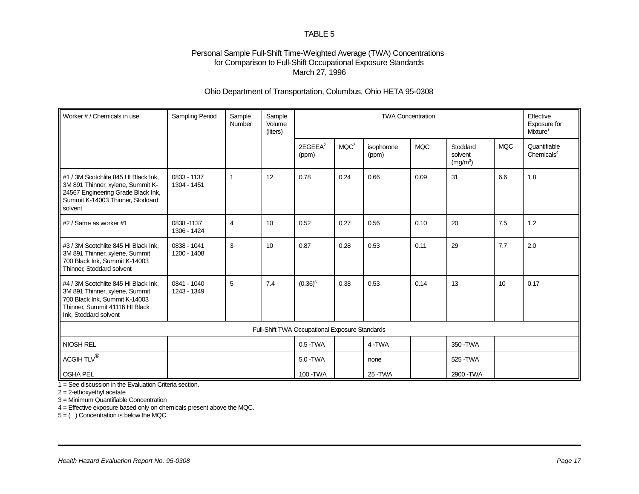### Personal Sample Full-Shift Time-Weighted Average (TWA) Concentrations for Comparison to Full-Shift Occupational Exposure Standards March 27, 1996

### Ohio Department of Transportation, Columbus, Ohio HETA 95-0308

| Worker # / Chemicals in use                                                                                                                                        | Sampling Period            | Sample<br>Number | Sample<br>Volume<br>(liters) | <b>TWA Concentration</b><br>Effective<br>Exposure for<br>Mixture <sup>1</sup> |                  |                     |            |                                             |            |                                        |
|--------------------------------------------------------------------------------------------------------------------------------------------------------------------|----------------------------|------------------|------------------------------|-------------------------------------------------------------------------------|------------------|---------------------|------------|---------------------------------------------|------------|----------------------------------------|
|                                                                                                                                                                    |                            |                  |                              | 2EGEEA <sup>2</sup><br>(ppm)                                                  | MQC <sup>3</sup> | isophorone<br>(ppm) | <b>MQC</b> | Stoddard<br>solvent<br>(mg/m <sup>3</sup> ) | <b>MQC</b> | Quantifiable<br>Chemicals <sup>4</sup> |
| #1 / 3M Scotchlite 845 HI Black Ink,<br>3M 891 Thinner, xylene, Summit K-<br>24567 Engineering Grade Black Ink,<br>Summit K-14003 Thinner, Stoddard<br>solvent     | 0833 - 1137<br>1304 - 1451 | $\mathbf{1}$     | 12                           | 0.78                                                                          | 0.24             | 0.66                | 0.09       | 31                                          | 6.6        | 1.8                                    |
| #2 / Same as worker #1                                                                                                                                             | 0838-1137<br>1306 - 1424   | $\overline{4}$   | 10                           | 0.52                                                                          | 0.27             | 0.56                | 0.10       | 20                                          | 7.5        | 1.2                                    |
| #3 / 3M Scotchlite 845 HI Black Ink,<br>3M 891 Thinner, xylene, Summit<br>700 Black Ink, Summit K-14003<br>Thinner, Stoddard solvent                               | 0838 - 1041<br>1200 - 1408 | 3                | 10                           | 0.87                                                                          | 0.28             | 0.53                | 0.11       | 29                                          | 7.7        | 2.0                                    |
| #4 / 3M Scotchlite 845 HI Black Ink,<br>3M 891 Thinner, xylene, Summit<br>700 Black Ink, Summit K-14003<br>Thinner, Summit 41116 HI Black<br>Ink, Stoddard solvent | 0841 - 1040<br>1243 - 1349 | 5                | 7.4                          | $(0.36)^5$                                                                    | 0.38             | 0.53                | 0.14       | 13                                          | 10         | 0.17                                   |
|                                                                                                                                                                    |                            |                  |                              | Full-Shift TWA Occupational Exposure Standards                                |                  |                     |            |                                             |            |                                        |
| NIOSH REL                                                                                                                                                          |                            |                  |                              | $0.5 - TWA$                                                                   |                  | 4-TWA               |            | 350-TWA                                     |            |                                        |
| ACGIH TLV $^{\circledR}$                                                                                                                                           |                            |                  |                              | 5.0 - TWA                                                                     |                  | none                |            | 525 - TWA                                   |            |                                        |
| <b>OSHA PEL</b>                                                                                                                                                    |                            |                  |                              | 100 - TWA                                                                     |                  | 25 - TWA            |            | 2900 - TWA                                  |            |                                        |

 $1 =$  See discussion in the Evaluation Criteria section.

2 = 2-ethoxyethyl acetate

3 = Minimum Quantifiable Concentration

4 = Effective exposure based only on chemicals present above the MQC.

5 = ( ) Concentration is below the MQC.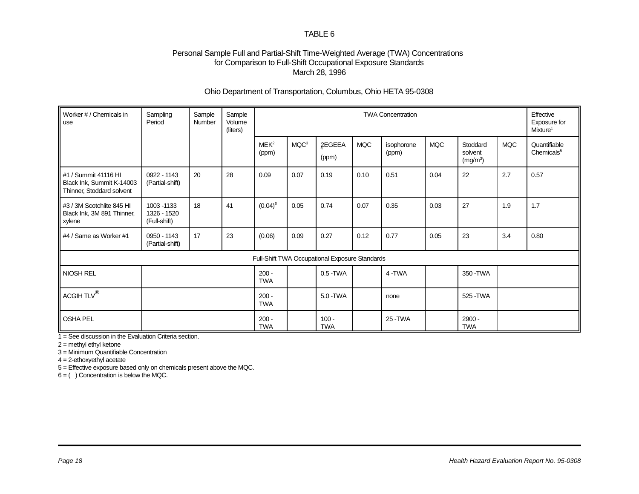### Personal Sample Full and Partial-Shift Time-Weighted Average (TWA) Concentrations for Comparison to Full-Shift Occupational Exposure Standards March 28, 1996

### Ohio Department of Transportation, Columbus, Ohio HETA 95-0308

| Worker # / Chemicals in<br>use                                                 | Sampling<br>Period                         | Sample<br>Number | Sample<br>Volume<br>(liters) |                           | Effective<br><b>TWA Concentration</b><br>Exposure for<br>Mixture <sup>1</sup> |                                                |            |                     |            |                                             |            |                                        |
|--------------------------------------------------------------------------------|--------------------------------------------|------------------|------------------------------|---------------------------|-------------------------------------------------------------------------------|------------------------------------------------|------------|---------------------|------------|---------------------------------------------|------------|----------------------------------------|
|                                                                                |                                            |                  |                              | MEK <sup>2</sup><br>(ppm) | MQC <sup>3</sup>                                                              | 2EGEEA<br>(ppm)                                | <b>MQC</b> | isophorone<br>(ppm) | <b>MQC</b> | Stoddard<br>solvent<br>(mg/m <sup>3</sup> ) | <b>MQC</b> | Quantifiable<br>Chemicals <sup>5</sup> |
| #1 / Summit 41116 HI<br>Black Ink, Summit K-14003<br>Thinner, Stoddard solvent | 0922 - 1143<br>(Partial-shift)             | 20               | 28                           | 0.09                      | 0.07                                                                          | 0.19                                           | 0.10       | 0.51                | 0.04       | 22                                          | 2.7        | 0.57                                   |
| #3 / 3M Scotchlite 845 HI<br>Black Ink, 3M 891 Thinner,<br>xylene              | 1003 - 1133<br>1326 - 1520<br>(Full-shift) | 18               | 41                           | $(0.04)^6$                | 0.05                                                                          | 0.74                                           | 0.07       | 0.35                | 0.03       | 27                                          | 1.9        | 1.7                                    |
| #4 / Same as Worker #1                                                         | 0950 - 1143<br>(Partial-shift)             | 17               | 23                           | (0.06)                    | 0.09                                                                          | 0.27                                           | 0.12       | 0.77                | 0.05       | 23                                          | 3.4        | 0.80                                   |
|                                                                                |                                            |                  |                              |                           |                                                                               | Full-Shift TWA Occupational Exposure Standards |            |                     |            |                                             |            |                                        |
| NIOSH REL                                                                      |                                            |                  |                              | $200 -$<br><b>TWA</b>     |                                                                               | $0.5 - TWA$                                    |            | 4-TWA               |            | 350 - TWA                                   |            |                                        |
| ACGIH TLV <sup>®</sup>                                                         |                                            |                  |                              | $200 -$<br><b>TWA</b>     |                                                                               | 5.0 - TWA                                      |            | none                |            | 525 - TWA                                   |            |                                        |
| <b>OSHA PEL</b>                                                                |                                            |                  |                              | $200 -$<br><b>TWA</b>     |                                                                               | $100 -$<br><b>TWA</b>                          |            | 25 - TWA            |            | $2900 -$<br><b>TWA</b>                      |            |                                        |

1 = See discussion in the Evaluation Criteria section.

2 = methyl ethyl ketone

3 = Minimum Quantifiable Concentration

4 = 2-ethoxyethyl acetate

5 = Effective exposure based only on chemicals present above the MQC.

 $6 = ( )$  Concentration is below the MQC.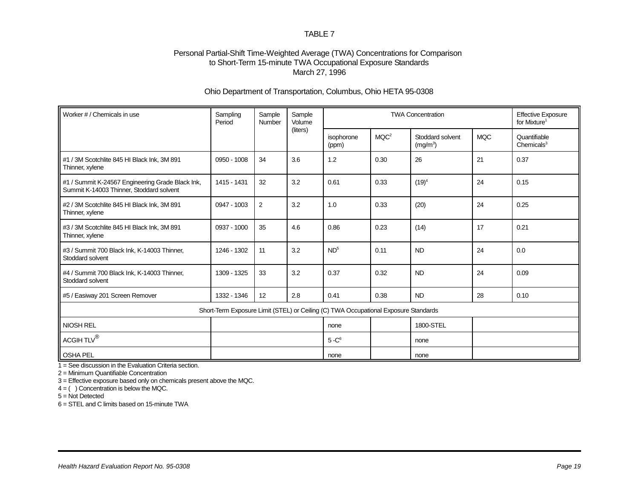### Personal Partial-Shift Time-Weighted Average (TWA) Concentrations for Comparison to Short-Term 15-minute TWA Occupational Exposure Standards March 27, 1996

### Ohio Department of Transportation, Columbus, Ohio HETA 95-0308

| Worker # / Chemicals in use                                                                  | Sampling<br>Period | Sample<br>Number | Sample<br>Volume |                                                                                     | <b>TWA Concentration</b> |                                          |            |                                        |  |  |
|----------------------------------------------------------------------------------------------|--------------------|------------------|------------------|-------------------------------------------------------------------------------------|--------------------------|------------------------------------------|------------|----------------------------------------|--|--|
|                                                                                              |                    |                  | (liters)         | isophorone<br>(ppm)                                                                 | MQC <sup>2</sup>         | Stoddard solvent<br>(mg/m <sup>3</sup> ) | <b>MQC</b> | Quantifiable<br>Chemicals <sup>3</sup> |  |  |
| #1 / 3M Scotchlite 845 HI Black Ink, 3M 891<br>Thinner, xylene                               | 0950 - 1008        | 34               | 3.6              | 1.2                                                                                 | 0.30                     | 26                                       | 21         | 0.37                                   |  |  |
| #1 / Summit K-24567 Engineering Grade Black Ink,<br>Summit K-14003 Thinner, Stoddard solvent | 1415 - 1431        | 32               | 3.2              | 0.61                                                                                | 0.33                     | $(19)^4$                                 | 24         | 0.15                                   |  |  |
| #2 / 3M Scotchlite 845 HI Black Ink, 3M 891<br>Thinner, xylene                               | 0947 - 1003        | 2                | 3.2              | 1.0                                                                                 | 0.33                     | (20)                                     | 24         | 0.25                                   |  |  |
| #3 / 3M Scotchlite 845 HI Black Ink, 3M 891<br>Thinner, xylene                               | 0937 - 1000        | 35               | 4.6              | 0.86                                                                                | 0.23                     | (14)                                     | 17         | 0.21                                   |  |  |
| #3 / Summit 700 Black Ink, K-14003 Thinner,<br>Stoddard solvent                              | 1246 - 1302        | 11               | 3.2              | ND <sup>5</sup>                                                                     | 0.11                     | <b>ND</b>                                | 24         | 0.0                                    |  |  |
| #4 / Summit 700 Black Ink, K-14003 Thinner,<br>Stoddard solvent                              | 1309 - 1325        | 33               | 3.2              | 0.37                                                                                | 0.32                     | <b>ND</b>                                | 24         | 0.09                                   |  |  |
| #5 / Easiway 201 Screen Remover                                                              | 1332 - 1346        | 12               | 2.8              | 0.41                                                                                | 0.38                     | <b>ND</b>                                | 28         | 0.10                                   |  |  |
|                                                                                              |                    |                  |                  | Short-Term Exposure Limit (STEL) or Ceiling (C) TWA Occupational Exposure Standards |                          |                                          |            |                                        |  |  |
| <b>NIOSH REL</b>                                                                             |                    |                  |                  | none                                                                                |                          | 1800-STEL                                |            |                                        |  |  |
| $\mathsf{ACGIH} \, \mathsf{TLV}^{\circledR}$                                                 |                    |                  |                  | $5 - C6$                                                                            |                          | none                                     |            |                                        |  |  |
| <b>OSHA PEL</b>                                                                              |                    |                  |                  | none                                                                                |                          | none                                     |            |                                        |  |  |

 $1 =$  See discussion in the Evaluation Criteria section.

2 = Minimum Quantifiable Concentration

3 = Effective exposure based only on chemicals present above the MQC.

 $4 = ( )$  Concentration is below the MQC.

 $5 = Not$  Detected

6 = STEL and C limits based on 15-minute TWA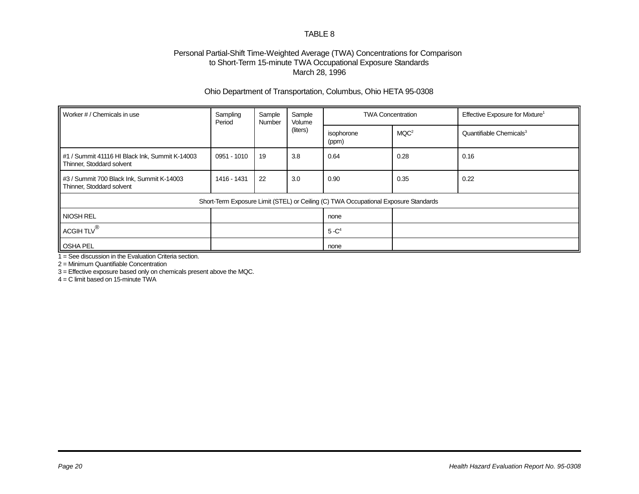### Personal Partial-Shift Time-Weighted Average (TWA) Concentrations for Comparison to Short-Term 15-minute TWA Occupational Exposure Standards March 28, 1996

### Ohio Department of Transportation, Columbus, Ohio HETA 95-0308

| Worker # / Chemicals in use                                                 | Sampling<br>Sample<br>Sample<br>Period<br>Volume<br>Number |    | <b>TWA Concentration</b> |                                                                                     | Effective Exposure for Mixture <sup>1</sup> |                                     |  |
|-----------------------------------------------------------------------------|------------------------------------------------------------|----|--------------------------|-------------------------------------------------------------------------------------|---------------------------------------------|-------------------------------------|--|
|                                                                             |                                                            |    | (liters)                 | isophorone<br>(ppm)                                                                 | MQC <sup>2</sup>                            | Quantifiable Chemicals <sup>3</sup> |  |
| #1 / Summit 41116 HI Black Ink, Summit K-14003<br>Thinner, Stoddard solvent | 0951 - 1010                                                | 19 | 3.8                      | 0.64                                                                                | 0.28                                        | 0.16                                |  |
| #3 / Summit 700 Black Ink, Summit K-14003<br>Thinner, Stoddard solvent      | 1416 - 1431                                                | 22 | 3.0                      | 0.90                                                                                | 0.35<br>0.22                                |                                     |  |
|                                                                             |                                                            |    |                          | Short-Term Exposure Limit (STEL) or Ceiling (C) TWA Occupational Exposure Standards |                                             |                                     |  |
| <b>NIOSH REL</b>                                                            |                                                            |    |                          | none                                                                                |                                             |                                     |  |
| ACGIH TLV <sup>®</sup>                                                      |                                                            |    |                          | $5 - C4$                                                                            |                                             |                                     |  |
| <b>OSHA PEL</b>                                                             |                                                            |    |                          | none                                                                                |                                             |                                     |  |

 $1 =$  See discussion in the Evaluation Criteria section.

2 = Minimum Quantifiable Concentration

3 = Effective exposure based only on chemicals present above the MQC.

 $4 = C$  limit based on 15-minute TWA